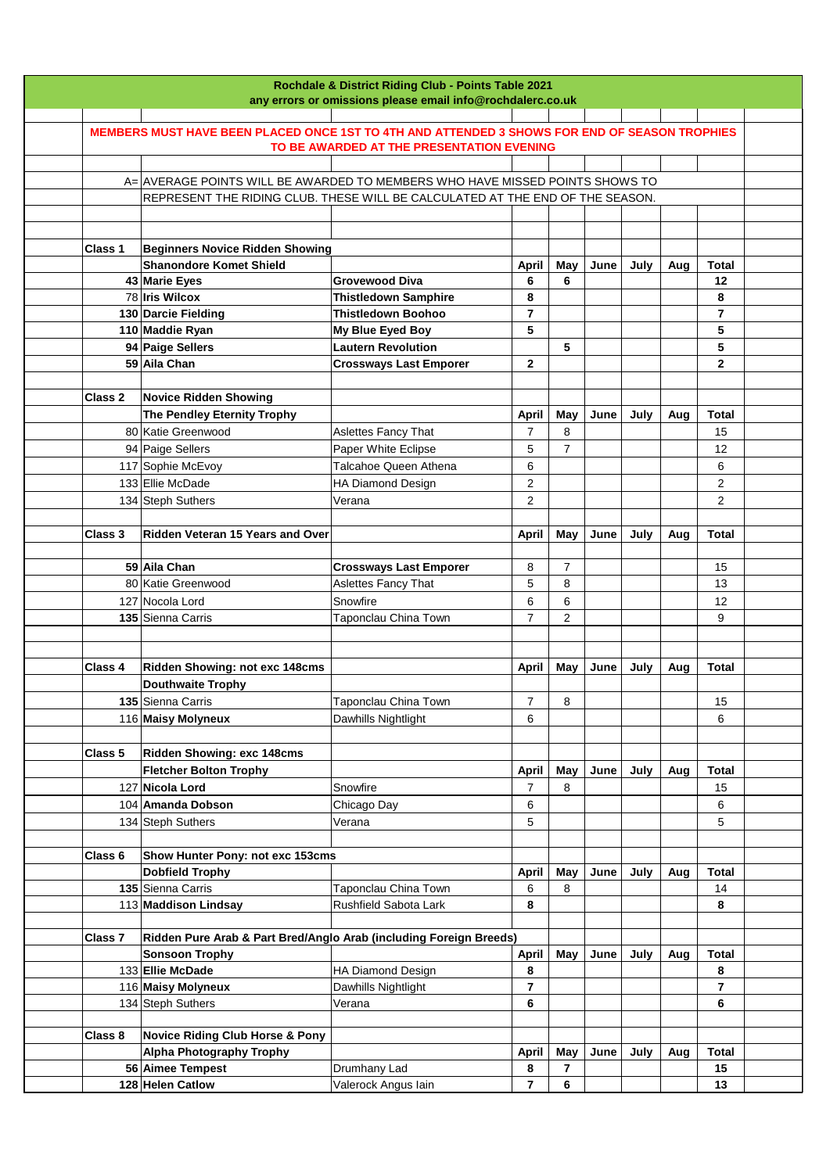|         |                                                                                               | Rochdale & District Riding Club - Points Table 2021<br>any errors or omissions please email info@rochdalerc.co.uk |                |                |      |      |     |                |  |
|---------|-----------------------------------------------------------------------------------------------|-------------------------------------------------------------------------------------------------------------------|----------------|----------------|------|------|-----|----------------|--|
|         |                                                                                               |                                                                                                                   |                |                |      |      |     |                |  |
|         | MEMBERS MUST HAVE BEEN PLACED ONCE 1ST TO 4TH AND ATTENDED 3 SHOWS FOR END OF SEASON TROPHIES |                                                                                                                   |                |                |      |      |     |                |  |
|         |                                                                                               | TO BE AWARDED AT THE PRESENTATION EVENING                                                                         |                |                |      |      |     |                |  |
|         |                                                                                               |                                                                                                                   |                |                |      |      |     |                |  |
|         | A= AVERAGE POINTS WILL BE AWARDED TO MEMBERS WHO HAVE MISSED POINTS SHOWS TO                  |                                                                                                                   |                |                |      |      |     |                |  |
|         | REPRESENT THE RIDING CLUB. THESE WILL BE CALCULATED AT THE END OF THE SEASON.                 |                                                                                                                   |                |                |      |      |     |                |  |
|         |                                                                                               |                                                                                                                   |                |                |      |      |     |                |  |
|         |                                                                                               |                                                                                                                   |                |                |      |      |     |                |  |
| Class 1 | <b>Beginners Novice Ridden Showing</b>                                                        |                                                                                                                   |                |                |      |      |     |                |  |
|         | <b>Shanondore Komet Shield</b>                                                                |                                                                                                                   | April          | May            | June | July | Aug | <b>Total</b>   |  |
|         | 43 Marie Eyes                                                                                 | <b>Grovewood Diva</b>                                                                                             | 6              | 6              |      |      |     | 12             |  |
|         | 78 Iris Wilcox                                                                                | <b>Thistledown Samphire</b>                                                                                       | 8              |                |      |      |     | 8              |  |
|         | 130 Darcie Fielding                                                                           | <b>Thistledown Boohoo</b>                                                                                         | $\overline{7}$ |                |      |      |     | $\overline{7}$ |  |
|         | 110 Maddie Ryan                                                                               | My Blue Eyed Boy                                                                                                  | 5              |                |      |      |     | 5              |  |
|         | 94 Paige Sellers                                                                              | <b>Lautern Revolution</b>                                                                                         |                | 5              |      |      |     | 5              |  |
|         | 59 Aila Chan                                                                                  | <b>Crossways Last Emporer</b>                                                                                     | $\mathbf{2}$   |                |      |      |     | $\mathbf{2}$   |  |
|         |                                                                                               |                                                                                                                   |                |                |      |      |     |                |  |
| Class 2 | <b>Novice Ridden Showing</b>                                                                  |                                                                                                                   |                |                |      |      |     |                |  |
|         | The Pendley Eternity Trophy                                                                   |                                                                                                                   | April          | May            | June | July | Aug | <b>Total</b>   |  |
|         | 80 Katie Greenwood                                                                            | Aslettes Fancy That                                                                                               | 7              | 8              |      |      |     | 15             |  |
|         | 94 Paige Sellers                                                                              | Paper White Eclipse                                                                                               | 5              | $\overline{7}$ |      |      |     | 12             |  |
|         | 117 Sophie McEvoy                                                                             | Talcahoe Queen Athena                                                                                             | 6              |                |      |      |     | 6              |  |
|         | 133 Ellie McDade                                                                              | HA Diamond Design                                                                                                 | 2              |                |      |      |     | $\overline{2}$ |  |
|         | 134 Steph Suthers                                                                             | Verana                                                                                                            | 2              |                |      |      |     | $\overline{2}$ |  |
|         |                                                                                               |                                                                                                                   |                |                |      |      |     |                |  |
| Class 3 | Ridden Veteran 15 Years and Over                                                              |                                                                                                                   | April          | May            | June | July | Aug | <b>Total</b>   |  |
|         |                                                                                               |                                                                                                                   |                |                |      |      |     |                |  |
|         | 59 Aila Chan                                                                                  | <b>Crossways Last Emporer</b>                                                                                     | 8              | 7              |      |      |     | 15             |  |
|         | 80 Katie Greenwood                                                                            | Aslettes Fancy That                                                                                               | 5              | 8              |      |      |     | 13             |  |
|         | 127 Nocola Lord                                                                               | Snowfire                                                                                                          | 6              | 6              |      |      |     | 12             |  |
|         | 135 Sienna Carris                                                                             | Taponclau China Town                                                                                              | $\overline{7}$ | 2              |      |      |     | 9              |  |
|         |                                                                                               |                                                                                                                   |                |                |      |      |     |                |  |
|         |                                                                                               |                                                                                                                   |                |                |      |      |     |                |  |
| Class 4 | Ridden Showing: not exc 148cms                                                                |                                                                                                                   | <b>April</b>   | May            | June | July | Aug | <b>Total</b>   |  |
|         | <b>Douthwaite Trophy</b>                                                                      |                                                                                                                   |                |                |      |      |     |                |  |
|         | 135 Sienna Carris                                                                             | Taponclau China Town                                                                                              | 7              | 8              |      |      |     | 15             |  |
|         | 116 Maisy Molyneux                                                                            | Dawhills Nightlight                                                                                               | 6              |                |      |      |     | 6              |  |
|         |                                                                                               |                                                                                                                   |                |                |      |      |     |                |  |
| Class 5 | Ridden Showing: exc 148cms                                                                    |                                                                                                                   |                |                |      |      |     |                |  |
|         | <b>Fletcher Bolton Trophy</b>                                                                 |                                                                                                                   | <b>April</b>   | May            | June | July | Aug | <b>Total</b>   |  |
|         | 127 Nicola Lord                                                                               | Snowfire                                                                                                          | $\overline{7}$ | 8              |      |      |     | 15             |  |
|         | 104 Amanda Dobson                                                                             | Chicago Day                                                                                                       | 6              |                |      |      |     | 6              |  |
|         | 134 Steph Suthers                                                                             | Verana                                                                                                            | 5              |                |      |      |     | 5              |  |
|         |                                                                                               |                                                                                                                   |                |                |      |      |     |                |  |
| Class 6 | Show Hunter Pony: not exc 153cms                                                              |                                                                                                                   |                |                |      |      |     |                |  |
|         | <b>Dobfield Trophy</b>                                                                        |                                                                                                                   | <b>April</b>   | May            | June | July | Aug | <b>Total</b>   |  |
|         | 135 Sienna Carris                                                                             | Taponclau China Town                                                                                              | 6              | 8              |      |      |     | 14             |  |
|         | 113 Maddison Lindsay                                                                          | Rushfield Sabota Lark                                                                                             | 8              |                |      |      |     | 8              |  |
|         |                                                                                               |                                                                                                                   |                |                |      |      |     |                |  |
| Class 7 | Ridden Pure Arab & Part Bred/Anglo Arab (including Foreign Breeds)                            |                                                                                                                   |                |                |      |      |     |                |  |
|         | <b>Sonsoon Trophy</b>                                                                         |                                                                                                                   | <b>April</b>   | May            | June | July | Aug | <b>Total</b>   |  |
|         | 133 Ellie McDade                                                                              | HA Diamond Design                                                                                                 | 8              |                |      |      |     | 8              |  |
|         | 116 Maisy Molyneux                                                                            | Dawhills Nightlight                                                                                               | $\overline{7}$ |                |      |      |     | $\overline{7}$ |  |
|         | 134 Steph Suthers                                                                             | Verana                                                                                                            | 6              |                |      |      |     | 6              |  |
|         |                                                                                               |                                                                                                                   |                |                |      |      |     |                |  |
| Class 8 | <b>Novice Riding Club Horse &amp; Pony</b>                                                    |                                                                                                                   |                |                |      |      |     |                |  |
|         | <b>Alpha Photography Trophy</b>                                                               |                                                                                                                   | April          | May            | June | July | Aug | <b>Total</b>   |  |
|         | 56 Aimee Tempest                                                                              | Drumhany Lad                                                                                                      | 8              | 7              |      |      |     | 15             |  |
|         | 128 Helen Catlow                                                                              | Valerock Angus lain                                                                                               | 7              | 6              |      |      |     | 13             |  |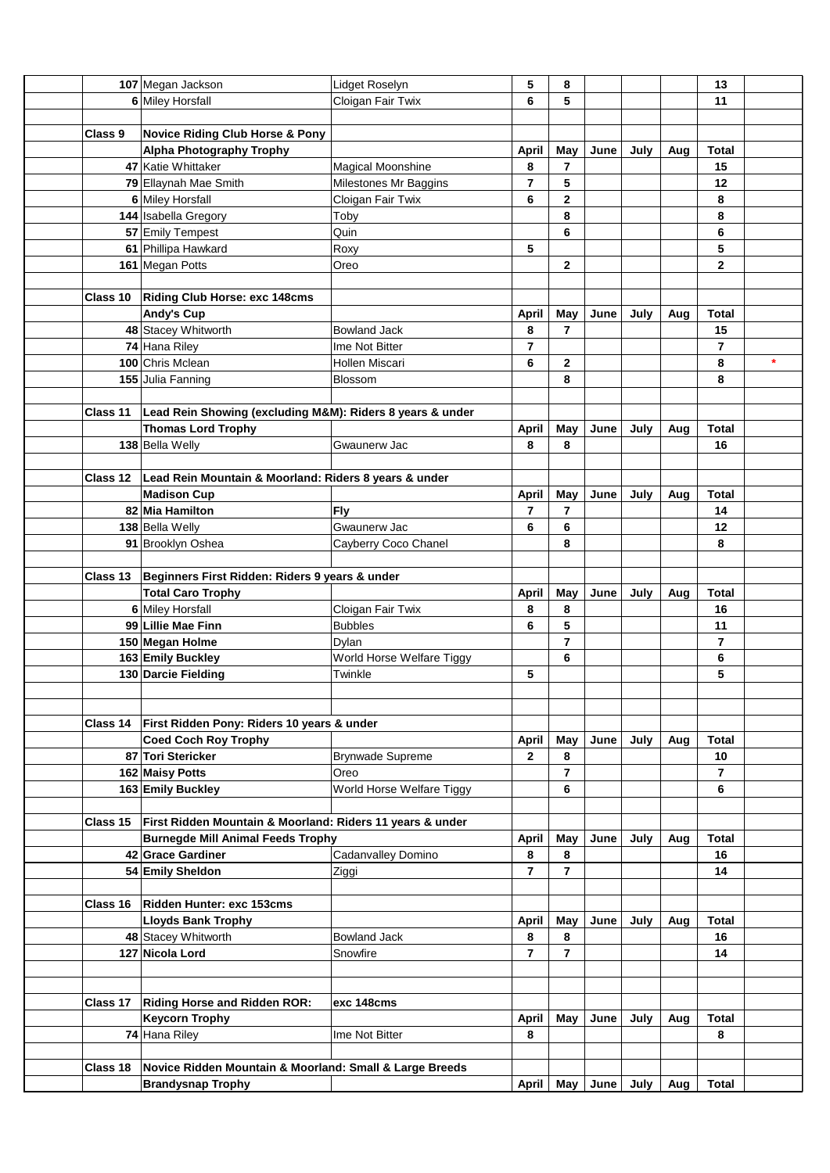|          | 107 Megan Jackson                                         | Lidget Roselyn            | 5                   | 8                       |                    |      |     | 13                  |         |
|----------|-----------------------------------------------------------|---------------------------|---------------------|-------------------------|--------------------|------|-----|---------------------|---------|
|          | 6 Miley Horsfall                                          | Cloigan Fair Twix         | 6                   | 5                       |                    |      |     | 11                  |         |
|          |                                                           |                           |                     |                         |                    |      |     |                     |         |
| Class 9  | <b>Novice Riding Club Horse &amp; Pony</b>                |                           |                     |                         |                    |      |     |                     |         |
|          | <b>Alpha Photography Trophy</b>                           |                           | April               | May                     | June               | July | Aug | <b>Total</b>        |         |
|          | 47 Katie Whittaker                                        | <b>Magical Moonshine</b>  | 8                   | 7                       |                    |      |     | 15                  |         |
|          | 79 Ellaynah Mae Smith                                     | Milestones Mr Baggins     | $\overline{7}$      | 5                       |                    |      |     | 12                  |         |
|          | 6 Miley Horsfall                                          | Cloigan Fair Twix         | 6                   | $\mathbf 2$             |                    |      |     | 8                   |         |
|          | 144 Isabella Gregory                                      | Toby                      |                     | 8                       |                    |      |     | 8                   |         |
|          | 57 Emily Tempest                                          | Quin                      |                     | 6                       |                    |      |     | 6                   |         |
|          | 61 Phillipa Hawkard                                       | Roxy                      | 5                   |                         |                    |      |     | 5                   |         |
|          | 161 Megan Potts                                           | Oreo                      |                     | $\overline{2}$          |                    |      |     | $\mathbf{2}$        |         |
|          |                                                           |                           |                     |                         |                    |      |     |                     |         |
|          | Class 10   Riding Club Horse: exc 148cms                  |                           |                     |                         |                    |      |     |                     |         |
|          | <b>Andy's Cup</b>                                         |                           | <b>April</b>        | May                     | June               | July | Aug | <b>Total</b>        |         |
|          | 48 Stacey Whitworth                                       | <b>Bowland Jack</b>       | 8                   | $\overline{7}$          |                    |      |     | 15                  |         |
|          |                                                           |                           |                     |                         |                    |      |     |                     |         |
|          | 74 Hana Riley<br>100 Chris Mclean                         | Ime Not Bitter            | $\overline{7}$<br>6 |                         |                    |      |     | $\overline{7}$<br>8 | $\star$ |
|          |                                                           | Hollen Miscari            |                     | $\overline{\mathbf{2}}$ |                    |      |     |                     |         |
|          | 155 Julia Fanning                                         | Blossom                   |                     | 8                       |                    |      |     | 8                   |         |
|          |                                                           |                           |                     |                         |                    |      |     |                     |         |
| Class 11 | Lead Rein Showing (excluding M&M): Riders 8 years & under |                           |                     |                         |                    |      |     |                     |         |
|          | <b>Thomas Lord Trophy</b>                                 |                           | April               | May                     | June               | July | Aug | <b>Total</b>        |         |
|          | 138 Bella Welly                                           | Gwaunerw Jac              | 8                   | 8                       |                    |      |     | 16                  |         |
|          |                                                           |                           |                     |                         |                    |      |     |                     |         |
| Class 12 | Lead Rein Mountain & Moorland: Riders 8 years & under     |                           |                     |                         |                    |      |     |                     |         |
|          | <b>Madison Cup</b>                                        |                           | <b>April</b>        | May                     | June               | July | Aug | Total               |         |
|          | 82 Mia Hamilton                                           | Fly                       | 7                   | 7                       |                    |      |     | 14                  |         |
|          | 138 Bella Welly                                           | Gwaunerw Jac              | 6                   | 6                       |                    |      |     | 12 <sub>2</sub>     |         |
|          | 91 Brooklyn Oshea                                         | Cayberry Coco Chanel      |                     | 8                       |                    |      |     | 8                   |         |
|          |                                                           |                           |                     |                         |                    |      |     |                     |         |
| Class 13 | Beginners First Ridden: Riders 9 years & under            |                           |                     |                         |                    |      |     |                     |         |
|          | <b>Total Caro Trophy</b>                                  |                           | April               | May                     | June               | July | Aug | <b>Total</b>        |         |
|          | 6 Miley Horsfall                                          | Cloigan Fair Twix         | 8                   | 8                       |                    |      |     | 16                  |         |
|          | 99 Lillie Mae Finn                                        | <b>Bubbles</b>            | 6                   | 5                       |                    |      |     | 11                  |         |
|          | 150 Megan Holme                                           | Dylan                     |                     | 7                       |                    |      |     | $\overline{7}$      |         |
|          | 163 Emily Buckley                                         | World Horse Welfare Tiggy |                     | 6                       |                    |      |     | 6                   |         |
|          | 130 Darcie Fielding                                       | Twinkle                   | 5                   |                         |                    |      |     | 5                   |         |
|          |                                                           |                           |                     |                         |                    |      |     |                     |         |
|          |                                                           |                           |                     |                         |                    |      |     |                     |         |
| Class 14 | First Ridden Pony: Riders 10 years & under                |                           |                     |                         |                    |      |     |                     |         |
|          | <b>Coed Coch Roy Trophy</b>                               |                           | April               | May                     | June               | July | Aug | <b>Total</b>        |         |
|          | 87 Tori Stericker                                         | Brynwade Supreme          | $\mathbf{2}$        | 8                       |                    |      |     | 10                  |         |
|          | 162 Maisy Potts                                           | Oreo                      |                     | 7                       |                    |      |     | $\overline{7}$      |         |
|          | 163 Emily Buckley                                         | World Horse Welfare Tiggy |                     | 6                       |                    |      |     | 6                   |         |
|          |                                                           |                           |                     |                         |                    |      |     |                     |         |
| Class 15 | First Ridden Mountain & Moorland: Riders 11 years & under |                           |                     |                         |                    |      |     |                     |         |
|          | <b>Burnegde Mill Animal Feeds Trophy</b>                  |                           | April               | May                     | June               | July | Aug | <b>Total</b>        |         |
|          | 42 Grace Gardiner                                         | Cadanvalley Domino        | 8                   | 8                       |                    |      |     | 16                  |         |
|          | 54 Emily Sheldon                                          | Ziggi                     | 7                   | 7                       |                    |      |     | 14                  |         |
|          |                                                           |                           |                     |                         |                    |      |     |                     |         |
| Class 16 | Ridden Hunter: exc 153cms                                 |                           |                     |                         |                    |      |     |                     |         |
|          | <b>Lloyds Bank Trophy</b>                                 |                           | <b>April</b>        | May                     | June               | July | Aug | Total               |         |
|          | 48 Stacey Whitworth                                       | <b>Bowland Jack</b>       | 8                   | 8                       |                    |      |     | 16                  |         |
|          | 127 Nicola Lord                                           | Snowfire                  | 7                   | 7                       |                    |      |     | 14                  |         |
|          |                                                           |                           |                     |                         |                    |      |     |                     |         |
|          |                                                           |                           |                     |                         |                    |      |     |                     |         |
| Class 17 | <b>Riding Horse and Ridden ROR:</b>                       | exc 148cms                |                     |                         |                    |      |     |                     |         |
|          | <b>Keycorn Trophy</b>                                     |                           | April               | May                     | June               | July | Aug | Total               |         |
|          | 74 Hana Riley                                             | Ime Not Bitter            | 8                   |                         |                    |      |     | 8                   |         |
|          |                                                           |                           |                     |                         |                    |      |     |                     |         |
| Class 18 | Novice Ridden Mountain & Moorland: Small & Large Breeds   |                           |                     |                         |                    |      |     |                     |         |
|          |                                                           |                           |                     |                         | April   May   June | July |     | <b>Total</b>        |         |
|          | <b>Brandysnap Trophy</b>                                  |                           |                     |                         |                    |      | Aug |                     |         |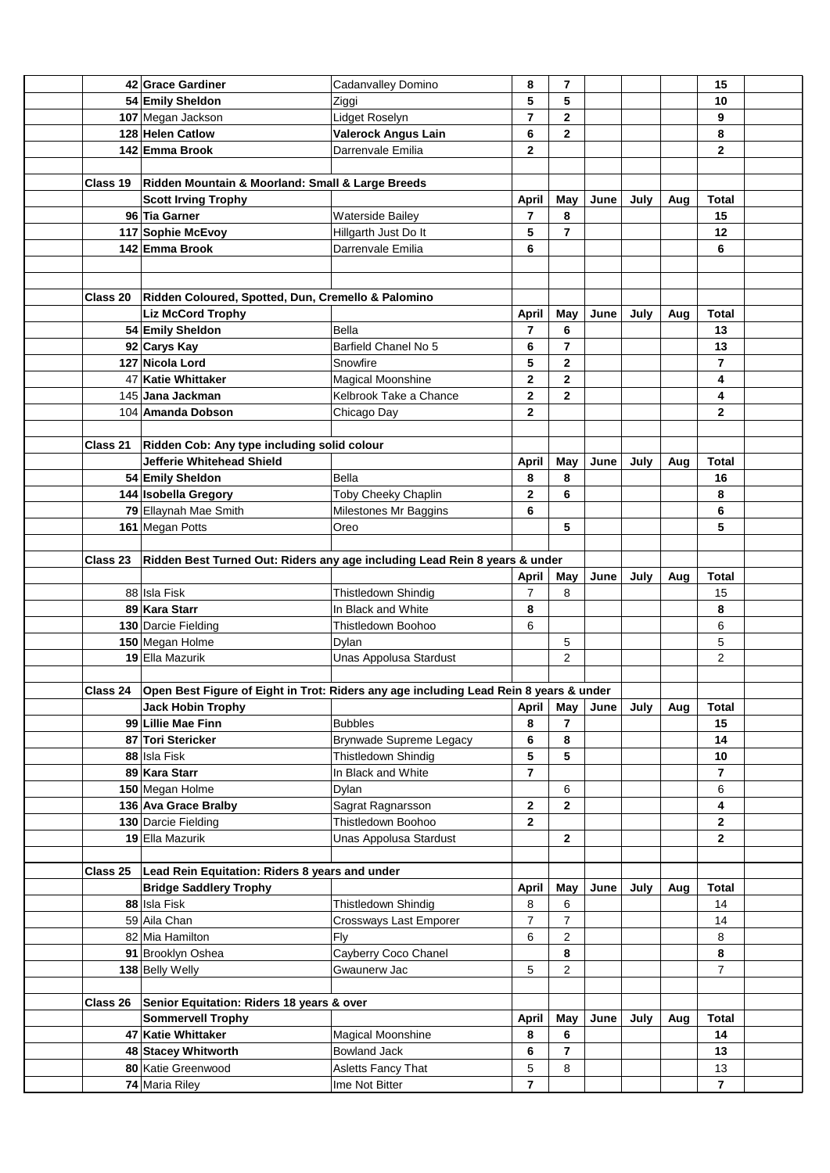|                 | 42 Grace Gardiner                                                                     | Cadanvalley Domino             | 8              | 7                       |          |      |     | 15             |  |
|-----------------|---------------------------------------------------------------------------------------|--------------------------------|----------------|-------------------------|----------|------|-----|----------------|--|
|                 | 54 Emily Sheldon                                                                      | Ziggi                          | 5              | 5                       |          |      |     | 10             |  |
|                 | 107 Megan Jackson                                                                     | Lidget Roselyn                 | $\overline{7}$ | 2                       |          |      |     | 9              |  |
|                 | 128 Helen Catlow                                                                      | Valerock Angus Lain            | 6              | $\mathbf{2}$            |          |      |     | 8              |  |
|                 | 142 Emma Brook                                                                        | Darrenvale Emilia              | $\mathbf 2$    |                         |          |      |     | $\mathbf{2}$   |  |
|                 |                                                                                       |                                |                |                         |          |      |     |                |  |
| Class 19        | Ridden Mountain & Moorland: Small & Large Breeds                                      |                                |                |                         |          |      |     |                |  |
|                 | <b>Scott Irving Trophy</b>                                                            |                                | <b>April</b>   | May                     | June     | July | Aug | <b>Total</b>   |  |
|                 | 96 Tia Garner                                                                         | <b>Waterside Bailey</b>        | 7              | 8                       |          |      |     | 15             |  |
|                 | 117 Sophie McEvoy                                                                     | Hillgarth Just Do It           | 5              | $\overline{7}$          |          |      |     | 12             |  |
|                 | 142 Emma Brook                                                                        | Darrenvale Emilia              | 6              |                         |          |      |     | 6              |  |
|                 |                                                                                       |                                |                |                         |          |      |     |                |  |
|                 |                                                                                       |                                |                |                         |          |      |     |                |  |
|                 | Class 20   Ridden Coloured, Spotted, Dun, Cremello & Palomino                         |                                |                |                         |          |      |     |                |  |
|                 | <b>Liz McCord Trophy</b>                                                              |                                | April          | May                     | June     | July | Aug | <b>Total</b>   |  |
|                 | 54 Emily Sheldon                                                                      | Bella                          | 7              | 6                       |          |      |     | 13             |  |
|                 |                                                                                       | Barfield Chanel No 5           |                | $\overline{7}$          |          |      |     | 13             |  |
|                 | 92 Carys Kay                                                                          |                                | 6              |                         |          |      |     |                |  |
|                 | 127 Nicola Lord                                                                       | Snowfire                       | 5              | $\mathbf 2$             |          |      |     | $\overline{7}$ |  |
|                 | 47 Katie Whittaker                                                                    | Magical Moonshine              | 2              | $\overline{\mathbf{2}}$ |          |      |     | 4              |  |
|                 | 145 Jana Jackman                                                                      | Kelbrook Take a Chance         | $\mathbf 2$    | $\mathbf{2}$            |          |      |     | 4              |  |
|                 | 104 Amanda Dobson                                                                     | Chicago Day                    | 2              |                         |          |      |     | $\mathbf{2}$   |  |
|                 |                                                                                       |                                |                |                         |          |      |     |                |  |
| <b>Class 21</b> | Ridden Cob: Any type including solid colour                                           |                                |                |                         |          |      |     |                |  |
|                 | Jefferie Whitehead Shield                                                             |                                | <b>April</b>   | May                     | June     | July | Aug | <b>Total</b>   |  |
|                 | 54 Emily Sheldon                                                                      | Bella                          | 8              | 8                       |          |      |     | 16             |  |
|                 | 144 Isobella Gregory                                                                  | <b>Toby Cheeky Chaplin</b>     | 2              | 6                       |          |      |     | 8              |  |
|                 | 79 Ellaynah Mae Smith                                                                 | Milestones Mr Baggins          | 6              |                         |          |      |     | 6              |  |
|                 | 161 Megan Potts                                                                       | Oreo                           |                | 5                       |          |      |     | 5              |  |
|                 |                                                                                       |                                |                |                         |          |      |     |                |  |
| Class 23        | Ridden Best Turned Out: Riders any age including Lead Rein 8 years & under            |                                |                |                         |          |      |     |                |  |
|                 |                                                                                       |                                | April          | May                     | June     | July | Aug | <b>Total</b>   |  |
|                 | 88 Isla Fisk                                                                          | Thistledown Shindig            | 7              | 8                       |          |      |     | 15             |  |
|                 | 89 Kara Starr                                                                         | In Black and White             | 8              |                         |          |      |     | 8              |  |
|                 | 130 Darcie Fielding                                                                   | Thistledown Boohoo             | 6              |                         |          |      |     | 6              |  |
|                 | 150 Megan Holme                                                                       | Dylan                          |                | 5                       |          |      |     | 5              |  |
|                 | 19 Ella Mazurik                                                                       | Unas Appolusa Stardust         |                | $\mathbf{2}$            |          |      |     | $\overline{2}$ |  |
|                 |                                                                                       |                                |                |                         |          |      |     |                |  |
| Class 24        | Open Best Figure of Eight in Trot: Riders any age including Lead Rein 8 years & under |                                |                |                         |          |      |     |                |  |
|                 | <b>Jack Hobin Trophy</b>                                                              |                                | <b>April</b>   |                         | May June | July | Aug | <b>Total</b>   |  |
|                 | 99 Lillie Mae Finn                                                                    | <b>Bubbles</b>                 | 8              | $\overline{7}$          |          |      |     | 15             |  |
|                 | 87 Tori Stericker                                                                     | <b>Brynwade Supreme Legacy</b> | 6              | 8                       |          |      |     | 14             |  |
|                 | 88 Isla Fisk                                                                          | Thistledown Shindig            | 5              | 5                       |          |      |     | 10             |  |
|                 | 89 Kara Starr                                                                         | In Black and White             | $\overline{7}$ |                         |          |      |     | $\overline{7}$ |  |
|                 | 150 Megan Holme                                                                       | Dylan                          |                | 6                       |          |      |     | 6              |  |
|                 | 136 Ava Grace Bralby                                                                  | Sagrat Ragnarsson              | 2              | $\mathbf{2}$            |          |      |     | 4              |  |
|                 | 130 Darcie Fielding                                                                   | Thistledown Boohoo             | $\mathbf 2$    |                         |          |      |     | $\mathbf{2}$   |  |
|                 | 19 Ella Mazurik                                                                       | Unas Appolusa Stardust         |                | 2                       |          |      |     | $\mathbf{2}$   |  |
|                 |                                                                                       |                                |                |                         |          |      |     |                |  |
| <b>Class 25</b> | Lead Rein Equitation: Riders 8 years and under                                        |                                |                |                         |          |      |     |                |  |
|                 | <b>Bridge Saddlery Trophy</b>                                                         |                                | April          | May                     | June     | July | Aug | <b>Total</b>   |  |
|                 | 88 Isla Fisk                                                                          | Thistledown Shindig            | 8              | 6                       |          |      |     | 14             |  |
|                 | 59 Aila Chan                                                                          | Crossways Last Emporer         | 7              | 7                       |          |      |     | 14             |  |
|                 | 82 Mia Hamilton                                                                       | Fly                            | 6              | $\overline{c}$          |          |      |     | 8              |  |
|                 | 91 Brooklyn Oshea                                                                     | Cayberry Coco Chanel           |                | 8                       |          |      |     | 8              |  |
|                 | 138 Belly Welly                                                                       | Gwaunerw Jac                   | 5              | $\overline{2}$          |          |      |     | $\overline{7}$ |  |
|                 |                                                                                       |                                |                |                         |          |      |     |                |  |
| Class 26        | Senior Equitation: Riders 18 years & over                                             |                                |                |                         |          |      |     |                |  |
|                 | <b>Sommervell Trophy</b>                                                              |                                | April          | May                     | June     | July | Aug | <b>Total</b>   |  |
|                 | 47 Katie Whittaker                                                                    | Magical Moonshine              | 8              | 6                       |          |      |     | 14             |  |
|                 | 48 Stacey Whitworth                                                                   | <b>Bowland Jack</b>            | 6              | $\overline{7}$          |          |      |     | 13             |  |
|                 | 80 Katie Greenwood                                                                    | Asletts Fancy That             | 5              | 8                       |          |      |     | 13             |  |
|                 | 74 Maria Riley                                                                        | Ime Not Bitter                 | $\overline{7}$ |                         |          |      |     | $\overline{7}$ |  |
|                 |                                                                                       |                                |                |                         |          |      |     |                |  |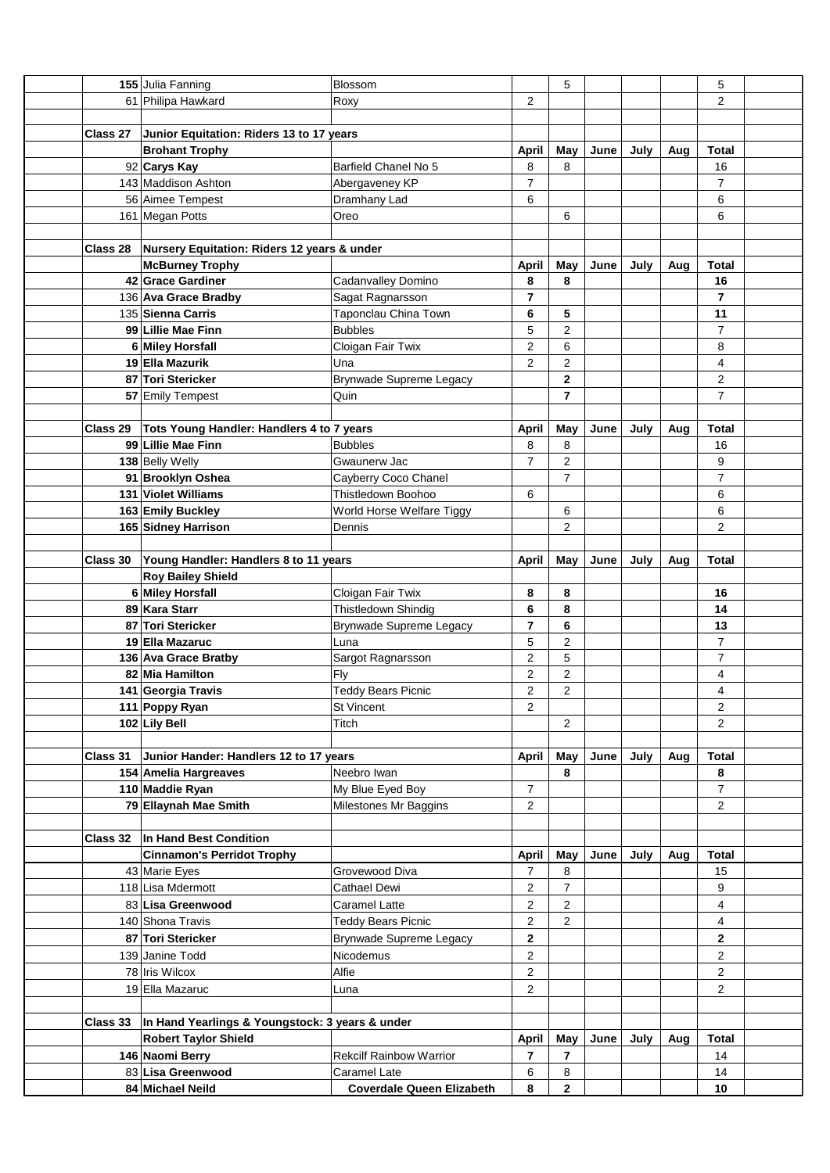|                 | 155 Julia Fanning                                               | Blossom                          |                         | 5                       |      |      |     | 5              |  |
|-----------------|-----------------------------------------------------------------|----------------------------------|-------------------------|-------------------------|------|------|-----|----------------|--|
|                 | 61 Philipa Hawkard                                              | Roxy                             | 2                       |                         |      |      |     | $\overline{2}$ |  |
|                 |                                                                 |                                  |                         |                         |      |      |     |                |  |
| Class 27        | Junior Equitation: Riders 13 to 17 years                        |                                  |                         |                         |      |      |     |                |  |
|                 | <b>Brohant Trophy</b>                                           |                                  | <b>April</b>            | May                     | June | July | Aug | <b>Total</b>   |  |
|                 | 92 Carys Kay                                                    | Barfield Chanel No 5             | 8                       | 8                       |      |      |     | 16             |  |
|                 | 143 Maddison Ashton                                             | Abergaveney KP                   | $\overline{7}$          |                         |      |      |     | $\overline{7}$ |  |
|                 | 56 Aimee Tempest                                                | Dramhany Lad                     | 6                       |                         |      |      |     | 6              |  |
|                 | 161 Megan Potts                                                 | Oreo                             |                         | 6                       |      |      |     | 6              |  |
|                 |                                                                 |                                  |                         |                         |      |      |     |                |  |
|                 | Class 28 Nursery Equitation: Riders 12 years & under            |                                  |                         |                         |      |      |     |                |  |
|                 | <b>McBurney Trophy</b>                                          |                                  | April                   | May                     | June | July | Aug | <b>Total</b>   |  |
|                 | 42 Grace Gardiner                                               | Cadanvalley Domino               | 8                       | 8                       |      |      |     | 16             |  |
|                 | 136 Ava Grace Bradby                                            | Sagat Ragnarsson                 | $\overline{\mathbf{r}}$ |                         |      |      |     | $\overline{7}$ |  |
|                 | 135 Sienna Carris                                               | Taponclau China Town             | 6                       | 5                       |      |      |     | 11             |  |
|                 | 99 Lillie Mae Finn                                              | <b>Bubbles</b>                   | 5                       | 2                       |      |      |     | $\overline{7}$ |  |
|                 | 6 Miley Horsfall                                                | Cloigan Fair Twix                | 2                       | 6                       |      |      |     | 8              |  |
|                 | 19 Ella Mazurik                                                 | Una                              | $\overline{2}$          | $\overline{2}$          |      |      |     | 4              |  |
|                 |                                                                 |                                  |                         |                         |      |      |     |                |  |
|                 | 87 Tori Stericker                                               | <b>Brynwade Supreme Legacy</b>   |                         | 2                       |      |      |     | $\overline{2}$ |  |
|                 | 57 Emily Tempest                                                | Quin                             |                         | $\overline{7}$          |      |      |     | $\overline{7}$ |  |
|                 |                                                                 |                                  |                         |                         |      |      |     |                |  |
| Class 29        | Tots Young Handler: Handlers 4 to 7 years<br>99 Lillie Mae Finn |                                  | April                   | May                     | June | July | Aug | <b>Total</b>   |  |
|                 |                                                                 | <b>Bubbles</b>                   | 8                       | 8                       |      |      |     | 16             |  |
|                 | 138 Belly Welly                                                 | Gwaunerw Jac                     | 7                       | 2                       |      |      |     | 9              |  |
|                 | 91 Brooklyn Oshea                                               | Cayberry Coco Chanel             |                         | $\overline{7}$          |      |      |     | $\overline{7}$ |  |
|                 | 131 Violet Williams                                             | Thistledown Boohoo               | 6                       |                         |      |      |     | 6              |  |
|                 | 163 Emily Buckley                                               | World Horse Welfare Tiggy        |                         | 6                       |      |      |     | 6              |  |
|                 | 165 Sidney Harrison                                             | Dennis                           |                         | 2                       |      |      |     | $\overline{2}$ |  |
|                 |                                                                 |                                  |                         |                         |      |      |     |                |  |
| <b>Class 30</b> | Young Handler: Handlers 8 to 11 years                           |                                  | April                   | May                     | June | July | Aug | <b>Total</b>   |  |
|                 | <b>Roy Bailey Shield</b>                                        |                                  |                         |                         |      |      |     |                |  |
|                 | 6 Miley Horsfall                                                | Cloigan Fair Twix                | 8                       | 8                       |      |      |     | 16             |  |
|                 | 89 Kara Starr                                                   | Thistledown Shindig              | 6                       | 8                       |      |      |     | 14             |  |
|                 | 87 Tori Stericker                                               | Brynwade Supreme Legacy          | 7                       | 6                       |      |      |     | 13             |  |
|                 | 19 Ella Mazaruc                                                 | Luna                             | 5                       | $\overline{\mathbf{c}}$ |      |      |     | $\overline{7}$ |  |
|                 | 136 Ava Grace Bratby                                            | Sargot Ragnarsson                | 2                       | 5                       |      |      |     | $\overline{7}$ |  |
|                 | 82 Mia Hamilton                                                 | Fly                              | 2                       | $\overline{\mathbf{c}}$ |      |      |     | 4              |  |
|                 | 141 Georgia Travis                                              | <b>Teddy Bears Picnic</b>        | $\overline{2}$          | 2                       |      |      |     | 4              |  |
|                 | 111 Poppy Ryan                                                  | St Vincent                       | $\overline{c}$          |                         |      |      |     | $\overline{2}$ |  |
|                 | 102 Lily Bell                                                   | Titch                            |                         | $\overline{2}$          |      |      |     | $\overline{2}$ |  |
|                 |                                                                 |                                  |                         |                         |      |      |     |                |  |
| Class 31        | Junior Hander: Handlers 12 to 17 years                          |                                  | April                   | May                     | June | July | Aug | <b>Total</b>   |  |
|                 | 154 Amelia Hargreaves                                           | Neebro Iwan                      |                         | 8                       |      |      |     | 8              |  |
|                 | 110 Maddie Ryan                                                 | My Blue Eyed Boy                 | $\overline{7}$          |                         |      |      |     | $\overline{7}$ |  |
|                 | 79 Ellaynah Mae Smith                                           | Milestones Mr Baggins            | $\overline{c}$          |                         |      |      |     | $\overline{2}$ |  |
|                 |                                                                 |                                  |                         |                         |      |      |     |                |  |
|                 | Class 32  In Hand Best Condition                                |                                  |                         |                         |      |      |     |                |  |
|                 | <b>Cinnamon's Perridot Trophy</b>                               |                                  | April                   | May                     | June | July | Aug | <b>Total</b>   |  |
|                 | 43 Marie Eyes                                                   | Grovewood Diva                   | 7                       | 8                       |      |      |     | 15             |  |
|                 | 118 Lisa Mdermott                                               | Cathael Dewi                     | 2                       | 7                       |      |      |     | 9              |  |
|                 | 83 Lisa Greenwood                                               | Caramel Latte                    | 2                       | $\overline{c}$          |      |      |     | 4              |  |
|                 | 140 Shona Travis                                                | <b>Teddy Bears Picnic</b>        | 2                       | $\overline{2}$          |      |      |     | 4              |  |
|                 | 87 Tori Stericker                                               | Brynwade Supreme Legacy          | 2                       |                         |      |      |     | $\mathbf{2}$   |  |
|                 | 139 Janine Todd                                                 | Nicodemus                        | 2                       |                         |      |      |     | $\overline{2}$ |  |
|                 | 78 Iris Wilcox                                                  | Alfie                            | $\overline{c}$          |                         |      |      |     | $\overline{2}$ |  |
|                 | 19 Ella Mazaruc                                                 | Luna                             | 2                       |                         |      |      |     | $\overline{2}$ |  |
|                 |                                                                 |                                  |                         |                         |      |      |     |                |  |
| <b>Class 33</b> | In Hand Yearlings & Youngstock: 3 years & under                 |                                  |                         |                         |      |      |     |                |  |
|                 | <b>Robert Taylor Shield</b>                                     |                                  | <b>April</b>            | May                     | June | July | Aug | Total          |  |
|                 | 146 Naomi Berry                                                 | <b>Rekcilf Rainbow Warrior</b>   | 7                       | 7                       |      |      |     | 14             |  |
|                 | 83 Lisa Greenwood                                               | Caramel Late                     |                         |                         |      |      |     |                |  |
|                 |                                                                 |                                  | 6                       | 8                       |      |      |     | 14             |  |
|                 | 84 Michael Neild                                                | <b>Coverdale Queen Elizabeth</b> | 8                       | $\mathbf{2}$            |      |      |     | 10             |  |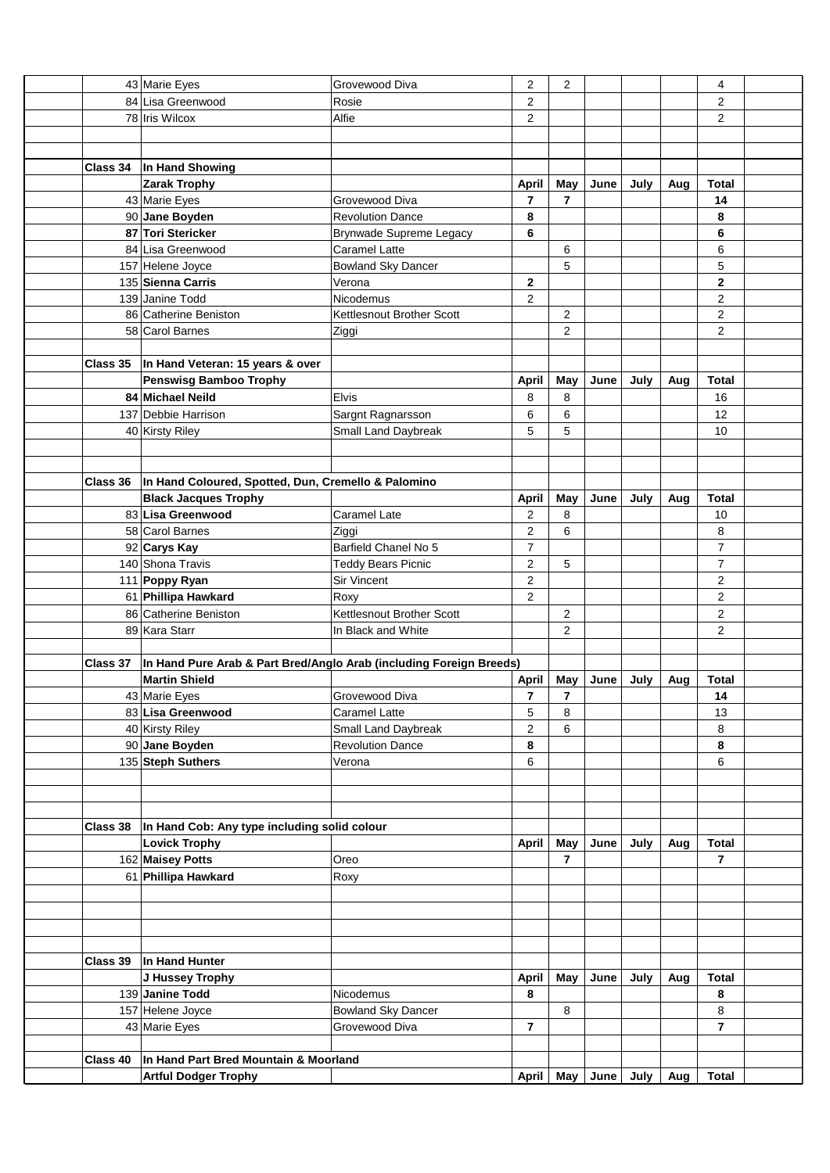|          | 43 Marie Eyes                                                                 | Grovewood Diva            | $\overline{c}$ | $\overline{c}$ |      |      |     | 4              |  |
|----------|-------------------------------------------------------------------------------|---------------------------|----------------|----------------|------|------|-----|----------------|--|
|          | 84 Lisa Greenwood                                                             | Rosie                     | 2              |                |      |      |     | 2              |  |
|          | 78 Iris Wilcox                                                                | Alfie                     | 2              |                |      |      |     | $\overline{2}$ |  |
|          |                                                                               |                           |                |                |      |      |     |                |  |
|          |                                                                               |                           |                |                |      |      |     |                |  |
|          | Class 34  In Hand Showing                                                     |                           |                |                |      |      |     |                |  |
|          | <b>Zarak Trophy</b>                                                           |                           | <b>April</b>   | May            | June | July | Aug | <b>Total</b>   |  |
|          | 43 Marie Eyes                                                                 | Grovewood Diva            | $\overline{7}$ | $\overline{7}$ |      |      |     | 14             |  |
|          | 90 Jane Boyden                                                                | <b>Revolution Dance</b>   | 8              |                |      |      |     | 8              |  |
|          | 87 Tori Stericker                                                             |                           | 6              |                |      |      |     | 6              |  |
|          |                                                                               | Brynwade Supreme Legacy   |                |                |      |      |     |                |  |
|          | 84 Lisa Greenwood                                                             | Caramel Latte             |                | 6              |      |      |     | 6              |  |
|          | 157 Helene Joyce                                                              | <b>Bowland Sky Dancer</b> |                | 5              |      |      |     | 5              |  |
|          | 135 Sienna Carris                                                             | Verona                    | $\mathbf 2$    |                |      |      |     | $\mathbf{2}$   |  |
|          | 139 Janine Todd                                                               | Nicodemus                 | $\overline{2}$ |                |      |      |     | $\overline{2}$ |  |
|          | 86 Catherine Beniston                                                         | Kettlesnout Brother Scott |                | 2              |      |      |     | $\overline{2}$ |  |
|          | 58 Carol Barnes                                                               | Ziggi                     |                | $\overline{2}$ |      |      |     | $\overline{2}$ |  |
|          |                                                                               |                           |                |                |      |      |     |                |  |
|          | Class 35  In Hand Veteran: 15 years & over                                    |                           |                |                |      |      |     |                |  |
|          | <b>Penswisg Bamboo Trophy</b>                                                 |                           | <b>April</b>   | May            | June | July | Aug | <b>Total</b>   |  |
|          | 84 Michael Neild                                                              | Elvis                     | 8              | 8              |      |      |     | 16             |  |
|          | 137 Debbie Harrison                                                           | Sargnt Ragnarsson         | 6              | 6              |      |      |     | 12             |  |
|          | 40 Kirsty Riley                                                               | Small Land Daybreak       | 5              | 5              |      |      |     | 10             |  |
|          |                                                                               |                           |                |                |      |      |     |                |  |
|          |                                                                               |                           |                |                |      |      |     |                |  |
|          | Class 36  In Hand Coloured, Spotted, Dun, Cremello & Palomino                 |                           |                |                |      |      |     |                |  |
|          | <b>Black Jacques Trophy</b>                                                   |                           | <b>April</b>   | May            | June | July | Aug | <b>Total</b>   |  |
|          | 83 Lisa Greenwood                                                             | Caramel Late              | 2              | 8              |      |      |     | 10             |  |
|          | 58 Carol Barnes                                                               | Ziggi                     | 2              | 6              |      |      |     | 8              |  |
|          | 92 Carys Kay                                                                  | Barfield Chanel No 5      | 7              |                |      |      |     | $\overline{7}$ |  |
|          | 140 Shona Travis                                                              | <b>Teddy Bears Picnic</b> | 2              | 5              |      |      |     | $\overline{7}$ |  |
|          |                                                                               | <b>Sir Vincent</b>        |                |                |      |      |     | 2              |  |
|          | 111 Poppy Ryan                                                                |                           | 2              |                |      |      |     |                |  |
|          | 61 Phillipa Hawkard                                                           | Roxy                      | 2              |                |      |      |     | $\overline{c}$ |  |
|          | 86 Catherine Beniston                                                         | Kettlesnout Brother Scott |                | $\overline{c}$ |      |      |     | $\overline{2}$ |  |
|          | 89 Kara Starr                                                                 | In Black and White        |                | 2              |      |      |     | $\overline{2}$ |  |
|          |                                                                               |                           |                |                |      |      |     |                |  |
|          | Class 37  In Hand Pure Arab & Part Bred/Anglo Arab (including Foreign Breeds) |                           |                |                |      |      |     |                |  |
|          | <b>Martin Shield</b>                                                          |                           | <b>April</b>   | May            | June | July | Aug | <b>Total</b>   |  |
|          | 43 Marie Eyes                                                                 | Grovewood Diva            | 7              | 7              |      |      |     | 14             |  |
|          | 83 Lisa Greenwood                                                             | Caramel Latte             | 5              | 8              |      |      |     | 13             |  |
|          | 40 Kirsty Riley                                                               | Small Land Daybreak       | 2              | 6              |      |      |     | 8              |  |
|          | 90 Jane Boyden                                                                | <b>Revolution Dance</b>   | 8              |                |      |      |     | 8              |  |
|          | 135 Steph Suthers                                                             | Verona                    | 6              |                |      |      |     | 6              |  |
|          |                                                                               |                           |                |                |      |      |     |                |  |
|          |                                                                               |                           |                |                |      |      |     |                |  |
|          |                                                                               |                           |                |                |      |      |     |                |  |
| Class 38 | In Hand Cob: Any type including solid colour                                  |                           |                |                |      |      |     |                |  |
|          | <b>Lovick Trophy</b>                                                          |                           | <b>April</b>   | May            | June | July | Aug | <b>Total</b>   |  |
|          | 162 Maisey Potts                                                              | Oreo                      |                | $\overline{7}$ |      |      |     | $\overline{7}$ |  |
|          | 61 Phillipa Hawkard                                                           | Roxy                      |                |                |      |      |     |                |  |
|          |                                                                               |                           |                |                |      |      |     |                |  |
|          |                                                                               |                           |                |                |      |      |     |                |  |
|          |                                                                               |                           |                |                |      |      |     |                |  |
|          |                                                                               |                           |                |                |      |      |     |                |  |
|          | Class 39   In Hand Hunter                                                     |                           |                |                |      |      |     |                |  |
|          |                                                                               |                           |                |                |      |      |     |                |  |
|          | J Hussey Trophy                                                               |                           | <b>April</b>   | May            | June | July | Aug | <b>Total</b>   |  |
|          | 139 Janine Todd                                                               | Nicodemus                 | 8              |                |      |      |     | 8              |  |
|          | 157 Helene Joyce                                                              | <b>Bowland Sky Dancer</b> |                | 8              |      |      |     | 8              |  |
|          | 43 Marie Eyes                                                                 | Grovewood Diva            | 7              |                |      |      |     | $\overline{7}$ |  |
|          |                                                                               |                           |                |                |      |      |     |                |  |
| Class 40 | In Hand Part Bred Mountain & Moorland                                         |                           |                |                |      |      |     |                |  |
|          | <b>Artful Dodger Trophy</b>                                                   |                           | April          | May            | June | July | Aug | <b>Total</b>   |  |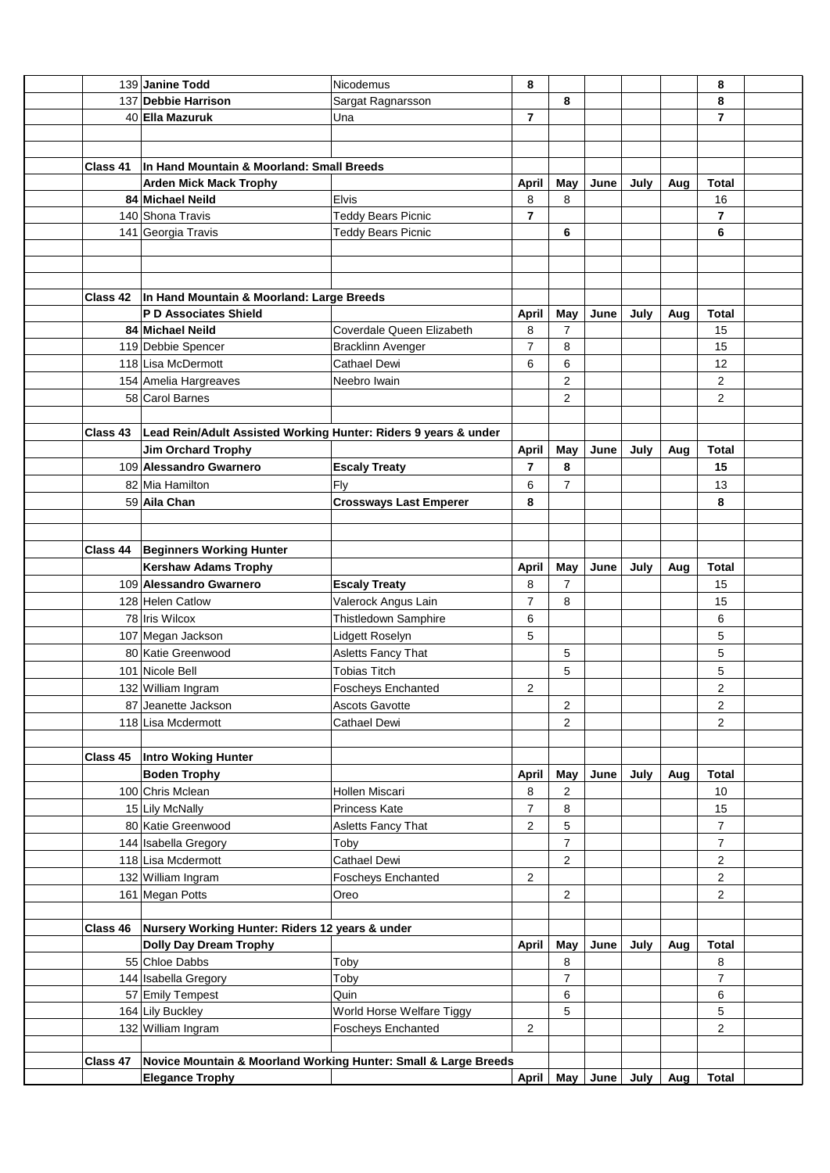|          | 139 Janine Todd                                                 | Nicodemus                     | 8              |                |      |      |     | 8                       |  |
|----------|-----------------------------------------------------------------|-------------------------------|----------------|----------------|------|------|-----|-------------------------|--|
|          | 137 Debbie Harrison                                             | Sargat Ragnarsson             |                | 8              |      |      |     | 8                       |  |
|          | 40 Ella Mazuruk                                                 | Una                           | 7              |                |      |      |     | $\overline{7}$          |  |
|          |                                                                 |                               |                |                |      |      |     |                         |  |
|          |                                                                 |                               |                |                |      |      |     |                         |  |
| Class 41 | In Hand Mountain & Moorland: Small Breeds                       |                               |                |                |      |      |     |                         |  |
|          | <b>Arden Mick Mack Trophy</b>                                   |                               | <b>April</b>   | May            | June | July | Aug | <b>Total</b>            |  |
|          | 84 Michael Neild                                                | <b>Elvis</b>                  | 8              | 8              |      |      |     | 16                      |  |
|          | 140 Shona Travis                                                | <b>Teddy Bears Picnic</b>     | 7              |                |      |      |     | $\overline{7}$          |  |
|          | 141 Georgia Travis                                              | <b>Teddy Bears Picnic</b>     |                | 6              |      |      |     | 6                       |  |
|          |                                                                 |                               |                |                |      |      |     |                         |  |
|          |                                                                 |                               |                |                |      |      |     |                         |  |
|          |                                                                 |                               |                |                |      |      |     |                         |  |
|          | Class 42  In Hand Mountain & Moorland: Large Breeds             |                               |                |                |      |      |     |                         |  |
|          | <b>P D Associates Shield</b>                                    |                               | <b>April</b>   | May            | June | July | Aug | <b>Total</b>            |  |
|          | 84 Michael Neild                                                | Coverdale Queen Elizabeth     | 8              | 7              |      |      |     | 15                      |  |
|          | 119 Debbie Spencer                                              | <b>Bracklinn Avenger</b>      | 7              | 8              |      |      |     | 15                      |  |
|          | 118 Lisa McDermott                                              | <b>Cathael Dewi</b>           | 6              | 6              |      |      |     | 12                      |  |
|          | 154 Amelia Hargreaves                                           | Neebro Iwain                  |                | $\overline{2}$ |      |      |     | $\overline{2}$          |  |
|          | 58 Carol Barnes                                                 |                               |                | 2              |      |      |     | $\overline{2}$          |  |
|          |                                                                 |                               |                |                |      |      |     |                         |  |
| Class 43 | Lead Rein/Adult Assisted Working Hunter: Riders 9 years & under |                               |                |                |      |      |     |                         |  |
|          | Jim Orchard Trophy                                              |                               | <b>April</b>   | May            | June | July | Aug | <b>Total</b>            |  |
|          | 109 Alessandro Gwarnero                                         | <b>Escaly Treaty</b>          | 7              | 8              |      |      |     | 15                      |  |
|          | 82 Mia Hamilton                                                 | Fly                           | 6              | $\overline{7}$ |      |      |     | 13                      |  |
|          | 59 Aila Chan                                                    | <b>Crossways Last Emperer</b> | 8              |                |      |      |     | 8                       |  |
|          |                                                                 |                               |                |                |      |      |     |                         |  |
|          |                                                                 |                               |                |                |      |      |     |                         |  |
| Class 44 | <b>Beginners Working Hunter</b>                                 |                               |                |                |      |      |     |                         |  |
|          | <b>Kershaw Adams Trophy</b>                                     |                               | <b>April</b>   | May            | June | July | Aug | <b>Total</b>            |  |
|          | 109 Alessandro Gwarnero                                         | <b>Escaly Treaty</b>          | 8              | 7              |      |      |     | 15                      |  |
|          | 128 Helen Catlow                                                | Valerock Angus Lain           | $\overline{7}$ | 8              |      |      |     | 15                      |  |
|          | 78 Iris Wilcox                                                  | Thistledown Samphire          | 6              |                |      |      |     | 6                       |  |
|          | 107 Megan Jackson                                               | Lidgett Roselyn               | 5              |                |      |      |     | 5                       |  |
|          | 80 Katie Greenwood                                              | Asletts Fancy That            |                | 5              |      |      |     | 5                       |  |
|          | 101 Nicole Bell                                                 | <b>Tobias Titch</b>           |                |                |      |      |     |                         |  |
|          |                                                                 |                               | $\overline{2}$ | 5              |      |      |     | 5<br>$\overline{2}$     |  |
|          | 132 William Ingram                                              | <b>Foscheys Enchanted</b>     |                |                |      |      |     |                         |  |
|          | 87 Jeanette Jackson                                             | Ascots Gavotte                |                | 2              |      |      |     | $\overline{c}$          |  |
|          | 118 Lisa Mcdermott                                              | Cathael Dewi                  |                | $\overline{2}$ |      |      |     | $\overline{2}$          |  |
|          |                                                                 |                               |                |                |      |      |     |                         |  |
| Class 45 | <b>Intro Woking Hunter</b>                                      |                               |                |                |      |      |     |                         |  |
|          | <b>Boden Trophy</b>                                             |                               | April          | May            | June | July | Aug | <b>Total</b>            |  |
|          | 100 Chris Mclean                                                | Hollen Miscari                | 8              | 2              |      |      |     | 10                      |  |
|          | 15 Lily McNally                                                 | Princess Kate                 | 7              | 8              |      |      |     | 15                      |  |
|          | 80 Katie Greenwood                                              | Asletts Fancy That            | 2              | 5              |      |      |     | $\overline{7}$          |  |
|          | 144 Isabella Gregory                                            | Toby                          |                | 7              |      |      |     | $\overline{7}$          |  |
|          | 118 Lisa Mcdermott                                              | Cathael Dewi                  |                | $\overline{2}$ |      |      |     | $\overline{2}$          |  |
|          | 132 William Ingram                                              | <b>Foscheys Enchanted</b>     | 2              |                |      |      |     | $\overline{\mathbf{c}}$ |  |
|          | 161 Megan Potts                                                 | Oreo                          |                | 2              |      |      |     | $\overline{c}$          |  |
|          |                                                                 |                               |                |                |      |      |     |                         |  |
| Class 46 | Nursery Working Hunter: Riders 12 years & under                 |                               |                |                |      |      |     |                         |  |
|          | <b>Dolly Day Dream Trophy</b>                                   |                               | <b>April</b>   | May            | June | July | Aug | <b>Total</b>            |  |
|          | 55 Chloe Dabbs                                                  | Toby                          |                | 8              |      |      |     | 8                       |  |
|          | 144 Isabella Gregory                                            | Toby                          |                | $\overline{7}$ |      |      |     | 7                       |  |
|          | 57 Emily Tempest                                                | Quin                          |                | 6              |      |      |     | 6                       |  |
|          | 164 Lily Buckley                                                | World Horse Welfare Tiggy     |                | 5              |      |      |     | 5                       |  |
|          | 132 William Ingram                                              | <b>Foscheys Enchanted</b>     | 2              |                |      |      |     | $\overline{c}$          |  |
|          |                                                                 |                               |                |                |      |      |     |                         |  |
| Class 47 | Novice Mountain & Moorland Working Hunter: Small & Large Breeds |                               |                |                |      |      |     |                         |  |
|          | <b>Elegance Trophy</b>                                          |                               | <b>April</b>   | May            | June | July | Aug | <b>Total</b>            |  |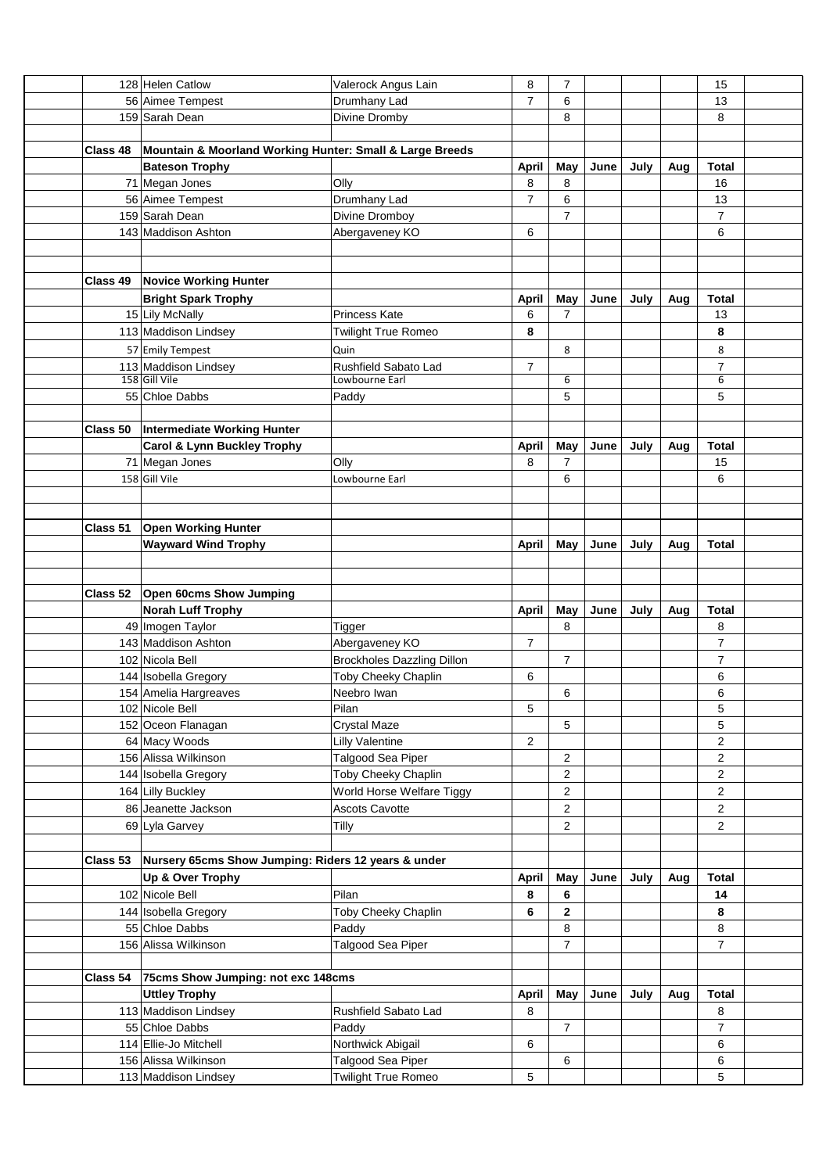|          | 128 Helen Catlow                                         | Valerock Angus Lain                             | 8              | 7                |      |      |     | 15             |  |
|----------|----------------------------------------------------------|-------------------------------------------------|----------------|------------------|------|------|-----|----------------|--|
|          | 56 Aimee Tempest                                         | Drumhany Lad                                    | $\overline{7}$ | 6                |      |      |     | 13             |  |
|          | 159 Sarah Dean                                           | Divine Dromby                                   |                | 8                |      |      |     | 8              |  |
|          |                                                          |                                                 |                |                  |      |      |     |                |  |
| Class 48 | Mountain & Moorland Working Hunter: Small & Large Breeds |                                                 |                |                  |      |      |     |                |  |
|          | <b>Bateson Trophy</b>                                    |                                                 | <b>April</b>   | May              | June | July | Aug | <b>Total</b>   |  |
|          | 71 Megan Jones                                           | Olly                                            | 8              | 8                |      |      |     | 16             |  |
|          | 56 Aimee Tempest                                         | Drumhany Lad                                    | $\overline{7}$ | 6                |      |      |     | 13             |  |
|          | 159 Sarah Dean                                           | Divine Dromboy                                  |                | $\overline{7}$   |      |      |     | $\overline{7}$ |  |
|          | 143 Maddison Ashton                                      | Abergaveney KO                                  | 6              |                  |      |      |     | 6              |  |
|          |                                                          |                                                 |                |                  |      |      |     |                |  |
|          |                                                          |                                                 |                |                  |      |      |     |                |  |
|          | <b>Class 49 Novice Working Hunter</b>                    |                                                 |                |                  |      |      |     |                |  |
|          | <b>Bright Spark Trophy</b>                               |                                                 | April          | May              | June | July | Aug | <b>Total</b>   |  |
|          | 15 Lily McNally                                          | <b>Princess Kate</b>                            | 6              | $\overline{7}$   |      |      |     | 13             |  |
|          | 113 Maddison Lindsey                                     | <b>Twilight True Romeo</b>                      | 8              |                  |      |      |     | 8              |  |
|          | 57 Emily Tempest                                         | Quin                                            |                | 8                |      |      |     | 8              |  |
|          | 113 Maddison Lindsey                                     | Rushfield Sabato Lad                            | $\overline{7}$ |                  |      |      |     | $\overline{7}$ |  |
|          | 158 Gill Vile                                            | Lowbourne Earl                                  |                | 6                |      |      |     | 6              |  |
|          | 55 Chloe Dabbs                                           | Paddy                                           |                | 5                |      |      |     | 5              |  |
|          |                                                          |                                                 |                |                  |      |      |     |                |  |
|          | Class 50   Intermediate Working Hunter                   |                                                 |                |                  |      |      |     |                |  |
|          | <b>Carol &amp; Lynn Buckley Trophy</b>                   |                                                 | <b>April</b>   | May              | June | July | Aug | <b>Total</b>   |  |
|          | 71 Megan Jones                                           | Olly                                            | 8              | 7                |      |      |     | 15             |  |
|          | 158 Gill Vile                                            | Lowbourne Earl                                  |                | 6                |      |      |     | 6              |  |
|          |                                                          |                                                 |                |                  |      |      |     |                |  |
|          |                                                          |                                                 |                |                  |      |      |     |                |  |
| Class 51 | <b>Open Working Hunter</b>                               |                                                 |                |                  |      |      |     |                |  |
|          | <b>Wayward Wind Trophy</b>                               |                                                 | April          | May              | June | July | Aug | Total          |  |
|          |                                                          |                                                 |                |                  |      |      |     |                |  |
|          |                                                          |                                                 |                |                  |      |      |     |                |  |
|          |                                                          |                                                 |                |                  |      |      |     |                |  |
| Class 52 |                                                          |                                                 |                |                  |      |      |     |                |  |
|          | Open 60cms Show Jumping<br><b>Norah Luff Trophy</b>      |                                                 | April          | May              | June | July | Aug | <b>Total</b>   |  |
|          | 49 Imogen Taylor                                         | Tigger                                          |                | 8                |      |      |     | 8              |  |
|          | 143 Maddison Ashton                                      | Abergaveney KO                                  | $\overline{7}$ |                  |      |      |     | $\overline{7}$ |  |
|          | 102 Nicola Bell                                          |                                                 |                | $\overline{7}$   |      |      |     | $\overline{7}$ |  |
|          |                                                          | <b>Brockholes Dazzling Dillon</b>               | 6              |                  |      |      |     | 6              |  |
|          | 144 Isobella Gregory                                     | Toby Cheeky Chaplin<br>Neebro Iwan              |                | 6                |      |      |     | 6              |  |
|          | 154 Amelia Hargreaves                                    |                                                 |                |                  |      |      |     |                |  |
|          | 102 Nicole Bell<br>152 Oceon Flanagan                    | Pilan<br><b>Crystal Maze</b>                    | 5              | 5                |      |      |     | 5<br>5         |  |
|          |                                                          |                                                 | 2              |                  |      |      |     | $\overline{2}$ |  |
|          | 64 Macy Woods                                            | <b>Lilly Valentine</b>                          |                | $\overline{c}$   |      |      |     | $\overline{c}$ |  |
|          | 156 Alissa Wilkinson<br>144 Isobella Gregory             | Talgood Sea Piper<br>Toby Cheeky Chaplin        |                | $\overline{c}$   |      |      |     | $\overline{c}$ |  |
|          |                                                          |                                                 |                |                  |      |      |     |                |  |
|          | 164 Lilly Buckley                                        | World Horse Welfare Tiggy                       |                | 2                |      |      |     | $\overline{c}$ |  |
|          | 86 Jeanette Jackson                                      | <b>Ascots Cavotte</b>                           |                | $\overline{c}$   |      |      |     | $\overline{a}$ |  |
|          | 69 Lyla Garvey                                           | Tilly                                           |                | $\overline{2}$   |      |      |     | $\overline{2}$ |  |
|          |                                                          |                                                 |                |                  |      |      |     |                |  |
| Class 53 | Nursery 65cms Show Jumping: Riders 12 years & under      |                                                 |                |                  |      |      |     |                |  |
|          | Up & Over Trophy                                         |                                                 | April          | May              | June | July | Aug | <b>Total</b>   |  |
|          | 102 Nicole Bell                                          | Pilan                                           | 8              | 6                |      |      |     | 14             |  |
|          | 144 Isobella Gregory                                     | Toby Cheeky Chaplin                             | 6              | 2                |      |      |     | 8              |  |
|          | 55 Chloe Dabbs                                           | Paddy                                           |                | 8                |      |      |     | 8              |  |
|          | 156 Alissa Wilkinson                                     | Talgood Sea Piper                               |                | $\boldsymbol{7}$ |      |      |     | $\overline{7}$ |  |
|          |                                                          |                                                 |                |                  |      |      |     |                |  |
| Class 54 | 75cms Show Jumping: not exc 148cms                       |                                                 |                |                  |      |      |     |                |  |
|          | <b>Uttley Trophy</b>                                     |                                                 | <b>April</b>   | May              | June | July | Aug | <b>Total</b>   |  |
|          | 113 Maddison Lindsey                                     | Rushfield Sabato Lad                            | 8              |                  |      |      |     | 8              |  |
|          | 55 Chloe Dabbs                                           | Paddy                                           |                | $\overline{7}$   |      |      |     | $\overline{7}$ |  |
|          | 114 Ellie-Jo Mitchell                                    | Northwick Abigail                               | 6              |                  |      |      |     | 6              |  |
|          | 156 Alissa Wilkinson<br>113 Maddison Lindsey             | Talgood Sea Piper<br><b>Twilight True Romeo</b> | 5              | 6                |      |      |     | 6<br>5         |  |